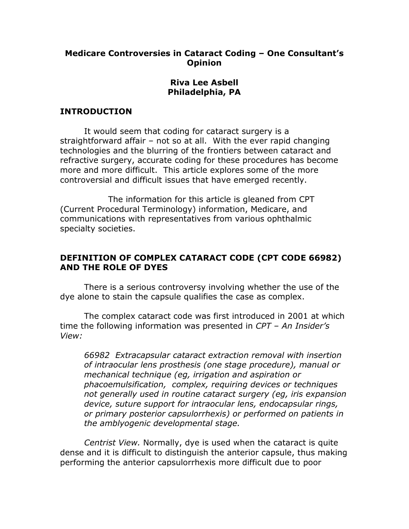## Medicare Controversies in Cataract Coding – One Consultant's **Opinion**

### Riva Lee Asbell Philadelphia, PA

#### INTRODUCTION

It would seem that coding for cataract surgery is a straightforward affair – not so at all. With the ever rapid changing technologies and the blurring of the frontiers between cataract and refractive surgery, accurate coding for these procedures has become more and more difficult. This article explores some of the more controversial and difficult issues that have emerged recently.

 The information for this article is gleaned from CPT (Current Procedural Terminology) information, Medicare, and communications with representatives from various ophthalmic specialty societies.

# DEFINITION OF COMPLEX CATARACT CODE (CPT CODE 66982) AND THE ROLE OF DYES

There is a serious controversy involving whether the use of the dye alone to stain the capsule qualifies the case as complex.

 The complex cataract code was first introduced in 2001 at which time the following information was presented in CPT - An Insider's View:

66982 Extracapsular cataract extraction removal with insertion of intraocular lens prosthesis (one stage procedure), manual or mechanical technique (eg, irrigation and aspiration or phacoemulsification, complex, requiring devices or techniques not generally used in routine cataract surgery (eg, iris expansion device, suture support for intraocular lens, endocapsular rings, or primary posterior capsulorrhexis) or performed on patients in the amblyogenic developmental stage.

Centrist View. Normally, dye is used when the cataract is quite dense and it is difficult to distinguish the anterior capsule, thus making performing the anterior capsulorrhexis more difficult due to poor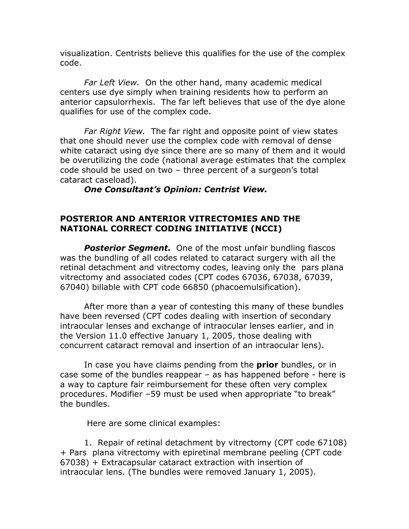visualization. Centrists believe this qualifies for the use of the complex code.

Far Left View. On the other hand, many academic medical centers use dye simply when training residents how to perform an anterior capsulorrhexis. The far left believes that use of the dye alone qualifies for use of the complex code.

Far Right View. The far right and opposite point of view states that one should never use the complex code with removal of dense white cataract using dye since there are so many of them and it would be overutilizing the code (national average estimates that the complex code should be used on two – three percent of a surgeon's total cataract caseload).

One Consultant's Opinion: Centrist View.

### POSTERIOR AND ANTERIOR VITRECTOMIES AND THE NATIONAL CORRECT CODING INITIATIVE (NCCI)

**Posterior Segment.** One of the most unfair bundling fiascos was the bundling of all codes related to cataract surgery with all the retinal detachment and vitrectomy codes, leaving only the pars plana vitrectomy and associated codes (CPT codes 67036, 67038, 67039, 67040) billable with CPT code 66850 (phacoemulsification).

 After more than a year of contesting this many of these bundles have been reversed (CPT codes dealing with insertion of secondary intraocular lenses and exchange of intraocular lenses earlier, and in the Version 11.0 effective January 1, 2005, those dealing with concurrent cataract removal and insertion of an intraocular lens).

In case you have claims pending from the **prior** bundles, or in case some of the bundles reappear – as has happened before - here is a way to capture fair reimbursement for these often very complex procedures. Modifier –59 must be used when appropriate "to break" the bundles.

Here are some clinical examples:

 1. Repair of retinal detachment by vitrectomy (CPT code 67108) + Pars plana vitrectomy with epiretinal membrane peeling (CPT code 67038) + Extracapsular cataract extraction with insertion of intraocular lens. (The bundles were removed January 1, 2005).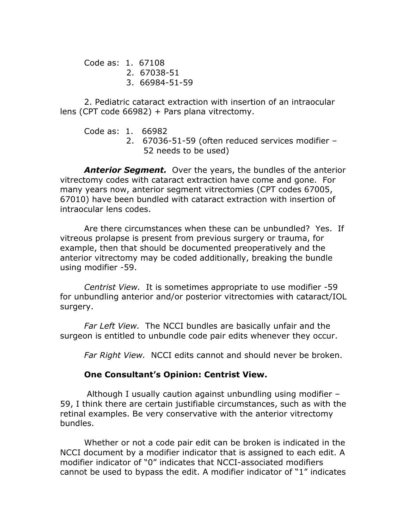Code as: 1. 67108 2. 67038-51 3. 66984-51-59

 2. Pediatric cataract extraction with insertion of an intraocular lens (CPT code 66982) + Pars plana vitrectomy.

Code as: 1. 66982

2. 67036-51-59 (often reduced services modifier – 52 needs to be used)

**Anterior Segment.** Over the years, the bundles of the anterior vitrectomy codes with cataract extraction have come and gone. For many years now, anterior segment vitrectomies (CPT codes 67005, 67010) have been bundled with cataract extraction with insertion of intraocular lens codes.

 Are there circumstances when these can be unbundled? Yes. If vitreous prolapse is present from previous surgery or trauma, for example, then that should be documented preoperatively and the anterior vitrectomy may be coded additionally, breaking the bundle using modifier -59.

Centrist View. It is sometimes appropriate to use modifier -59 for unbundling anterior and/or posterior vitrectomies with cataract/IOL surgery.

Far Left View. The NCCI bundles are basically unfair and the surgeon is entitled to unbundle code pair edits whenever they occur.

Far Right View. NCCI edits cannot and should never be broken.

## One Consultant's Opinion: Centrist View.

Although I usually caution against unbundling using modifier – 59, I think there are certain justifiable circumstances, such as with the retinal examples. Be very conservative with the anterior vitrectomy bundles.

 Whether or not a code pair edit can be broken is indicated in the NCCI document by a modifier indicator that is assigned to each edit. A modifier indicator of "0" indicates that NCCI-associated modifiers cannot be used to bypass the edit. A modifier indicator of "1" indicates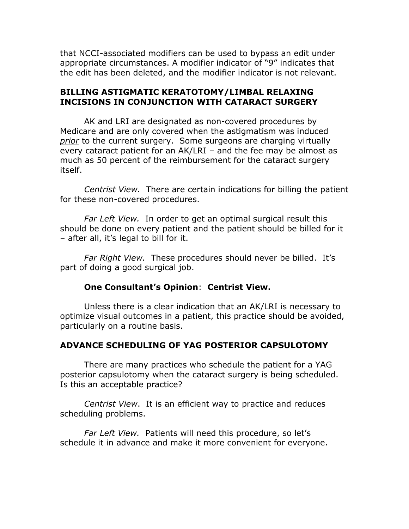that NCCI-associated modifiers can be used to bypass an edit under appropriate circumstances. A modifier indicator of "9" indicates that the edit has been deleted, and the modifier indicator is not relevant.

#### BILLING ASTIGMATIC KERATOTOMY/LIMBAL RELAXING INCISIONS IN CONJUNCTION WITH CATARACT SURGERY

AK and LRI are designated as non-covered procedures by Medicare and are only covered when the astigmatism was induced prior to the current surgery. Some surgeons are charging virtually every cataract patient for an AK/LRI – and the fee may be almost as much as 50 percent of the reimbursement for the cataract surgery itself.

Centrist View. There are certain indications for billing the patient for these non-covered procedures.

Far Left View. In order to get an optimal surgical result this should be done on every patient and the patient should be billed for it – after all, it's legal to bill for it.

Far Right View. These procedures should never be billed. It's part of doing a good surgical job.

## One Consultant's Opinion: Centrist View.

 Unless there is a clear indication that an AK/LRI is necessary to optimize visual outcomes in a patient, this practice should be avoided, particularly on a routine basis.

## ADVANCE SCHEDULING OF YAG POSTERIOR CAPSULOTOMY

There are many practices who schedule the patient for a YAG posterior capsulotomy when the cataract surgery is being scheduled. Is this an acceptable practice?

Centrist View. It is an efficient way to practice and reduces scheduling problems.

Far Left View. Patients will need this procedure, so let's schedule it in advance and make it more convenient for everyone.